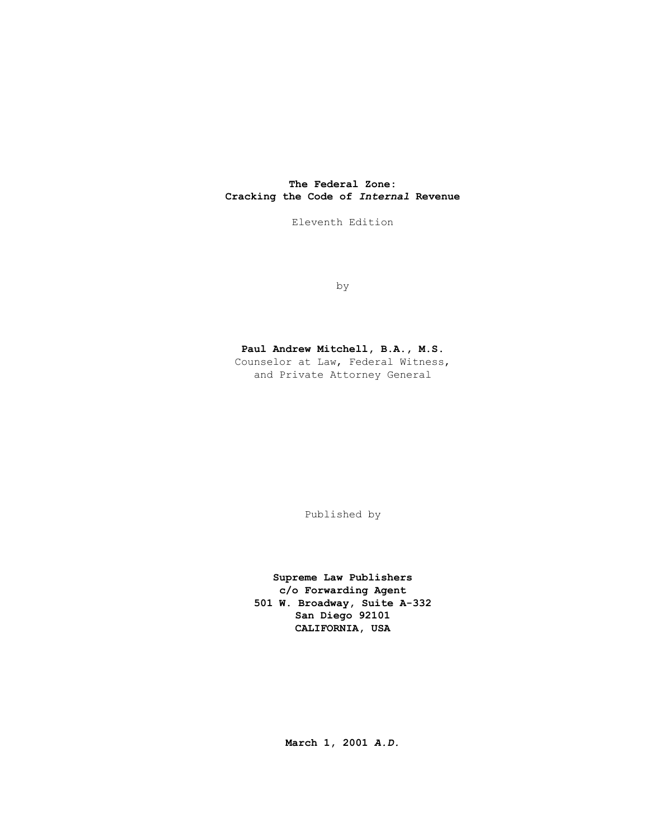# **The Federal Zone: Cracking the Code of** *Internal* **Revenue**

Eleventh Edition

by

# **Paul Andrew Mitchell, B.A., M.S.**

Counselor at Law, Federal Witness, and Private Attorney General

Published by

**Supreme Law Publishers c/o Forwarding Agent 501 W. Broadway, Suite A-332 San Diego 92101 CALIFORNIA, USA** 

**March 1, 2001** *A.D.*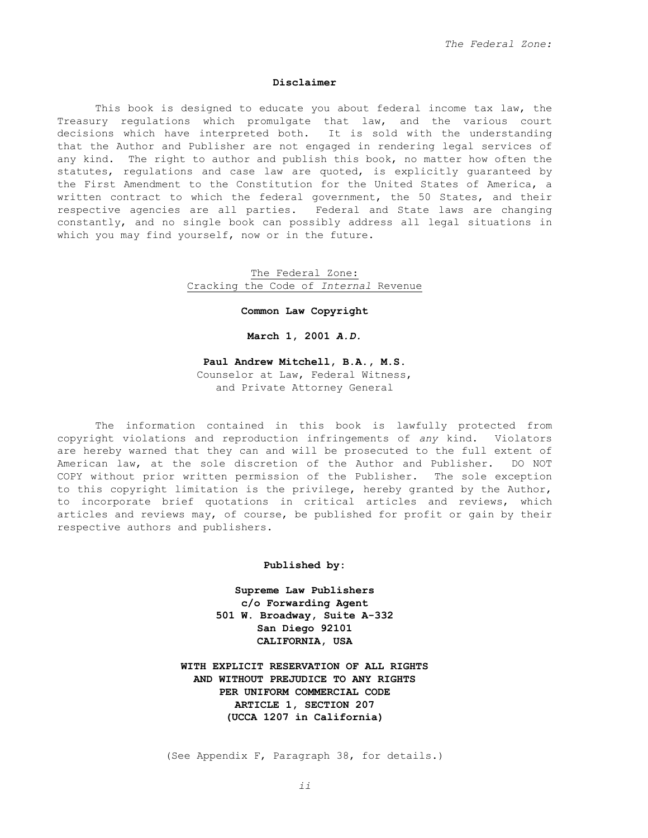## **Disclaimer**

 This book is designed to educate you about federal income tax law, the Treasury regulations which promulgate that law, and the various court decisions which have interpreted both. It is sold with the understanding that the Author and Publisher are not engaged in rendering legal services of any kind. The right to author and publish this book, no matter how often the statutes, regulations and case law are quoted, is explicitly guaranteed by the First Amendment to the Constitution for the United States of America, a written contract to which the federal government, the 50 States, and their respective agencies are all parties. Federal and State laws are changing constantly, and no single book can possibly address all legal situations in which you may find yourself, now or in the future.

> The Federal Zone: Cracking the Code of *Internal* Revenue

> > **Common Law Copyright**

**March 1, 2001** *A.D.*

# **Paul Andrew Mitchell, B.A., M.S.**

Counselor at Law, Federal Witness, and Private Attorney General

 The information contained in this book is lawfully protected from copyright violations and reproduction infringements of *any* kind. Violators are hereby warned that they can and will be prosecuted to the full extent of American law, at the sole discretion of the Author and Publisher. DO NOT COPY without prior written permission of the Publisher. The sole exception to this copyright limitation is the privilege, hereby granted by the Author, to incorporate brief quotations in critical articles and reviews, which articles and reviews may, of course, be published for profit or gain by their respective authors and publishers.

#### **Published by:**

**Supreme Law Publishers c/o Forwarding Agent 501 W. Broadway, Suite A-332 San Diego 92101 CALIFORNIA, USA**

**WITH EXPLICIT RESERVATION OF ALL RIGHTS AND WITHOUT PREJUDICE TO ANY RIGHTS PER UNIFORM COMMERCIAL CODE ARTICLE 1, SECTION 207 (UCCA 1207 in California)** 

(See Appendix F, Paragraph 38, for details.)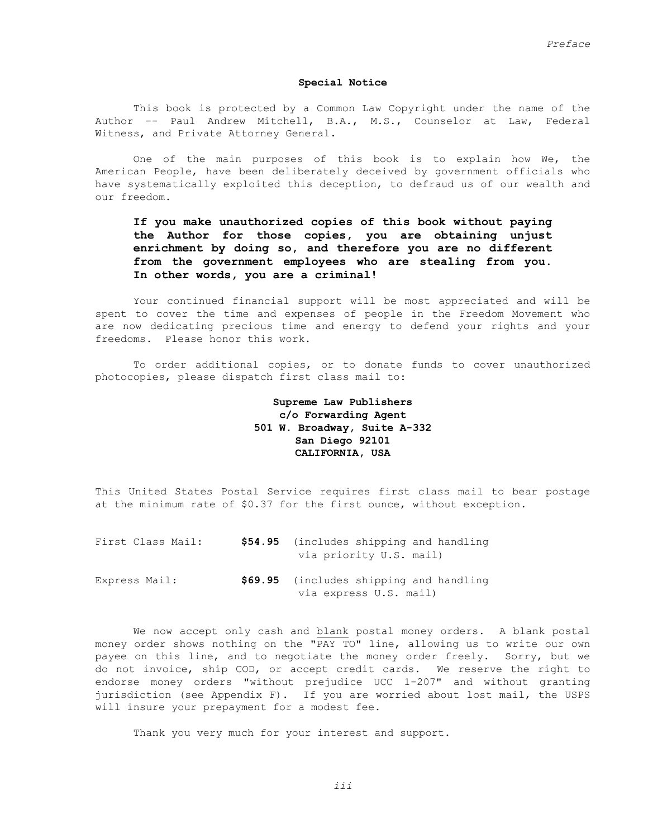## **Special Notice**

 This book is protected by a Common Law Copyright under the name of the Author -- Paul Andrew Mitchell, B.A., M.S., Counselor at Law, Federal Witness, and Private Attorney General.

 One of the main purposes of this book is to explain how We, the American People, have been deliberately deceived by government officials who have systematically exploited this deception, to defraud us of our wealth and our freedom.

# **If you make unauthorized copies of this book without paying the Author for those copies, you are obtaining unjust enrichment by doing so, and therefore you are no different from the government employees who are stealing from you. In other words, you are a criminal!**

 Your continued financial support will be most appreciated and will be spent to cover the time and expenses of people in the Freedom Movement who are now dedicating precious time and energy to defend your rights and your freedoms. Please honor this work.

 To order additional copies, or to donate funds to cover unauthorized photocopies, please dispatch first class mail to:

# **Supreme Law Publishers c/o Forwarding Agent 501 W. Broadway, Suite A-332 San Diego 92101 CALIFORNIA, USA**

This United States Postal Service requires first class mail to bear postage at the minimum rate of \$0.37 for the first ounce, without exception.

| First Class Mail: | \$54.95 (includes shipping and handling<br>via priority U.S. mail) |
|-------------------|--------------------------------------------------------------------|
| Express Mail:     | \$69.95 (includes shipping and handling<br>via express U.S. mail)  |

 We now accept only cash and blank postal money orders. A blank postal money order shows nothing on the "PAY TO" line, allowing us to write our own payee on this line, and to negotiate the money order freely. Sorry, but we do not invoice, ship COD, or accept credit cards. We reserve the right to endorse money orders "without prejudice UCC 1-207" and without granting jurisdiction (see Appendix F). If you are worried about lost mail, the USPS will insure your prepayment for a modest fee.

Thank you very much for your interest and support.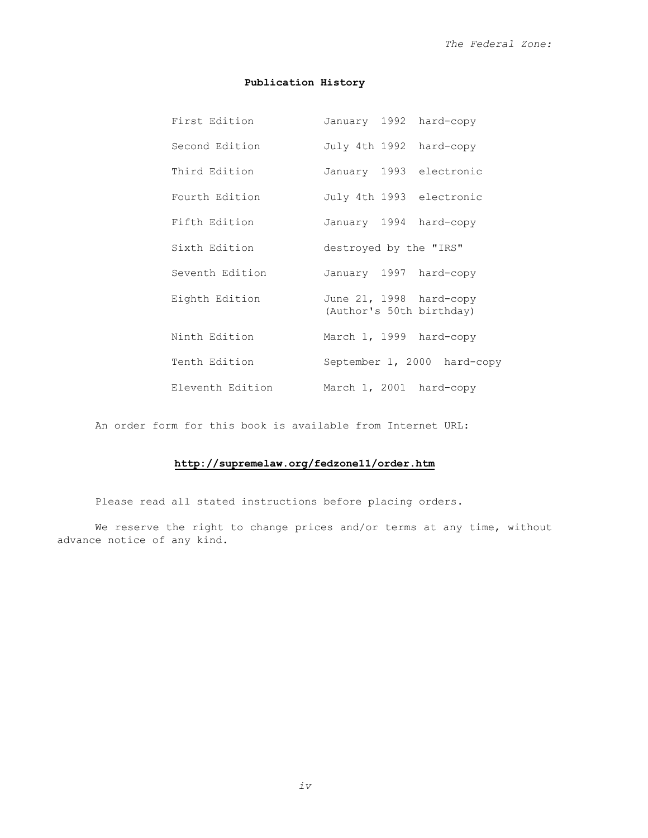# **Publication History**

| First Edition    | January 1992 hard-copy                              |
|------------------|-----------------------------------------------------|
| Second Edition   | July 4th 1992 hard-copy                             |
| Third Edition    | January 1993 electronic                             |
| Fourth Edition   | July 4th 1993 electronic                            |
| Fifth Edition    | January 1994 hard-copy                              |
| Sixth Edition    | destroyed by the "IRS"                              |
| Seventh Edition  | January 1997 hard-copy                              |
| Eighth Edition   | June 21, 1998 hard-copy<br>(Author's 50th birthday) |
| Ninth Edition    | March 1, 1999 hard-copy                             |
| Tenth Edition    | September 1, 2000 hard-copy                         |
| Eleventh Edition | March 1, 2001 hard-copy                             |

An order form for this book is available from Internet URL:

# **http://supremelaw.org/fedzone11/order.htm**

Please read all stated instructions before placing orders.

We reserve the right to change prices and/or terms at any time, without advance notice of any kind.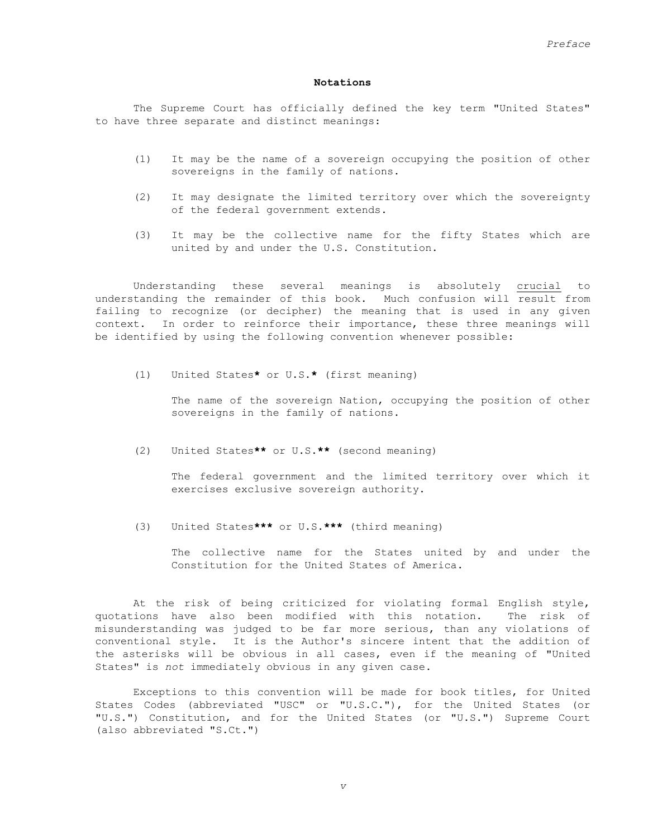#### **Notations**

 The Supreme Court has officially defined the key term "United States" to have three separate and distinct meanings:

- (1) It may be the name of a sovereign occupying the position of other sovereigns in the family of nations.
- (2) It may designate the limited territory over which the sovereignty of the federal government extends.
- (3) It may be the collective name for the fifty States which are united by and under the U.S. Constitution.

 Understanding these several meanings is absolutely crucial to understanding the remainder of this book. Much confusion will result from failing to recognize (or decipher) the meaning that is used in any given context. In order to reinforce their importance, these three meanings will be identified by using the following convention whenever possible:

(1) United States**\*** or U.S.**\*** (first meaning)

 The name of the sovereign Nation, occupying the position of other sovereigns in the family of nations.

(2) United States**\*\*** or U.S.**\*\*** (second meaning)

 The federal government and the limited territory over which it exercises exclusive sovereign authority.

(3) United States**\*\*\*** or U.S.**\*\*\*** (third meaning)

 The collective name for the States united by and under the Constitution for the United States of America.

 At the risk of being criticized for violating formal English style, quotations have also been modified with this notation. The risk of misunderstanding was judged to be far more serious, than any violations of conventional style. It is the Author's sincere intent that the addition of the asterisks will be obvious in all cases, even if the meaning of "United States" is *not* immediately obvious in any given case.

 Exceptions to this convention will be made for book titles, for United States Codes (abbreviated "USC" or "U.S.C."), for the United States (or "U.S.") Constitution, and for the United States (or "U.S.") Supreme Court (also abbreviated "S.Ct.")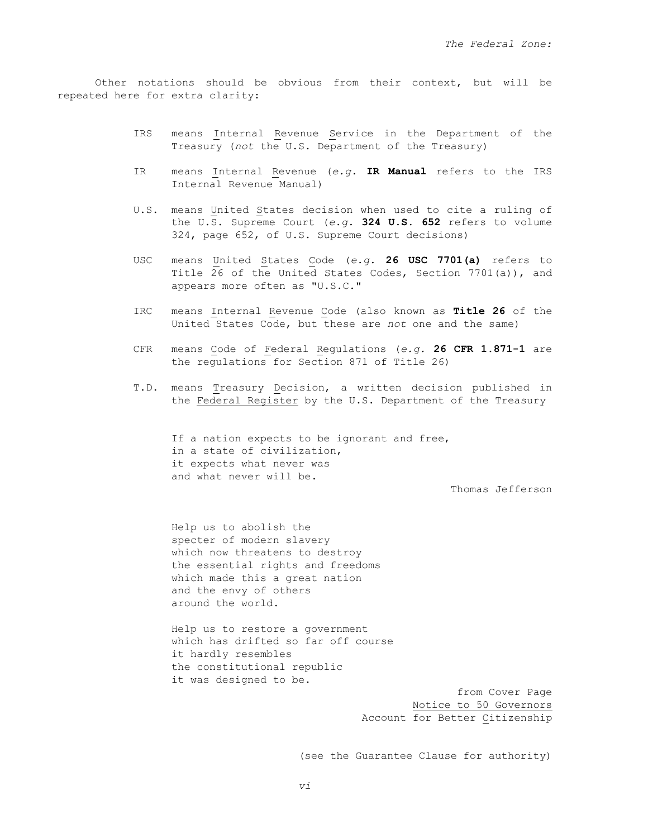Other notations should be obvious from their context, but will be repeated here for extra clarity:

- IRS means Internal Revenue Service in the Department of the Treasury (*not* the U.S. Department of the Treasury)
- IR means Internal Revenue (*e.g.* **IR Manual** refers to the IRS Internal Revenue Manual)
- U.S. means United States decision when used to cite a ruling of the U.S. Supreme Court (*e.g.* **324 U.S. 652** refers to volume 324, page 652, of U.S. Supreme Court decisions)
- USC means United States Code (*e.g.* **26 USC 7701(a)** refers to Title 26 of the United States Codes, Section 7701(a)), and appears more often as "U.S.C."
- IRC means Internal Revenue Code (also known as **Title 26** of the United States Code, but these are *not* one and the same)
- CFR means Code of Federal Regulations (*e.g.* **26 CFR 1.871-1** are the regulations for Section 871 of Title 26)
- T.D. means Treasury Decision, a written decision published in the Federal Register by the U.S. Department of the Treasury

If a nation expects to be ignorant and free, in a state of civilization, it expects what never was and what never will be.

Thomas Jefferson

 Help us to abolish the specter of modern slavery which now threatens to destroy the essential rights and freedoms which made this a great nation and the envy of others around the world.

 Help us to restore a government which has drifted so far off course it hardly resembles the constitutional republic it was designed to be.

> from Cover Page Notice to 50 Governors Account for Better Citizenship

(see the Guarantee Clause for authority)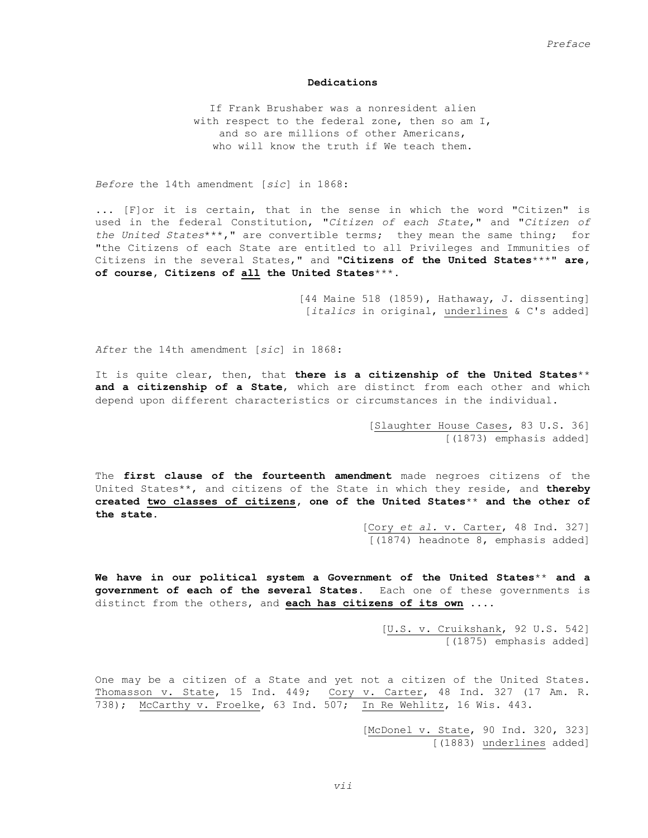### **Dedications**

If Frank Brushaber was a nonresident alien with respect to the federal zone, then so am I, and so are millions of other Americans, who will know the truth if We teach them.

*Before* the 14th amendment [*sic*] in 1868:

... [F]or it is certain, that in the sense in which the word "Citizen" is used in the federal Constitution, "*Citizen of each State*," and "*Citizen of the United States*\*\*\*," are convertible terms; they mean the same thing; for "the Citizens of each State are entitled to all Privileges and Immunities of Citizens in the several States," and **"Citizens of the United States**\*\*\***" are, of course, Citizens of all the United States**\*\*\*.

> [44 Maine 518 (1859), Hathaway, J. dissenting] [*italics* in original, underlines & C's added]

*After* the 14th amendment [*sic*] in 1868:

It is quite clear, then, that **there is a citizenship of the United States**\*\* **and a citizenship of a State**, which are distinct from each other and which depend upon different characteristics or circumstances in the individual.

> [Slaughter House Cases, 83 U.S. 36] [(1873) emphasis added]

The **first clause of the fourteenth amendment** made negroes citizens of the United States\*\*, and citizens of the State in which they reside, and **thereby created two classes of citizens, one of the United States**\*\* **and the other of the state**.

> [Cory *et al.* v. Carter, 48 Ind. 327] [(1874) headnote 8, emphasis added]

**We have in our political system a Government of the United States**\*\* **and a government of each of the several States**. Each one of these governments is distinct from the others, and **each has citizens of its own** ....

> [U.S. v. Cruikshank, 92 U.S. 542] [(1875) emphasis added]

One may be a citizen of a State and yet not a citizen of the United States. Thomasson v. State, 15 Ind. 449; Cory v. Carter, 48 Ind. 327 (17 Am. R. 738); McCarthy v. Froelke, 63 Ind. 507; In Re Wehlitz, 16 Wis. 443.

> [McDonel v. State, 90 Ind. 320, 323] [(1883) underlines added]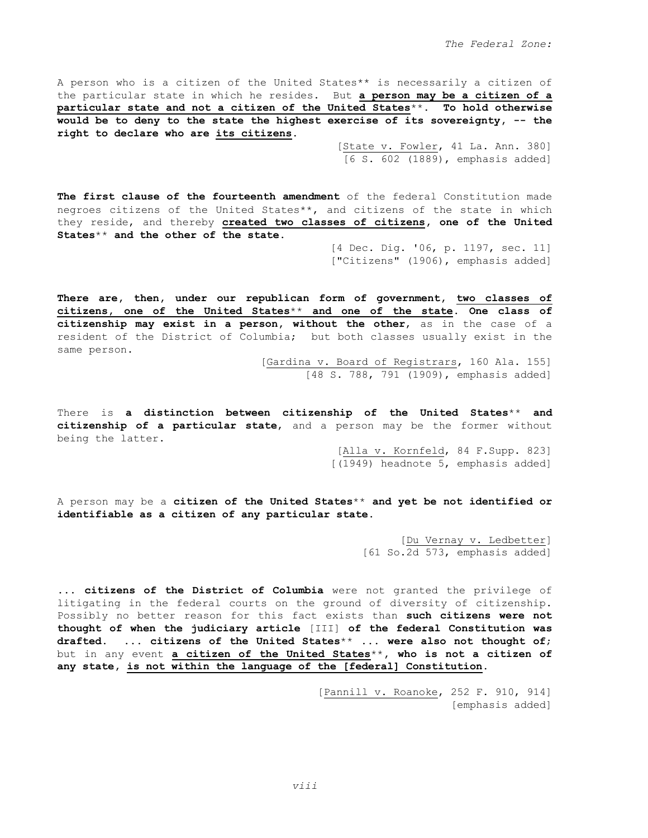A person who is a citizen of the United States\*\* is necessarily a citizen of the particular state in which he resides. But **a person may be a citizen of a particular state and not a citizen of the United States**\*\***. To hold otherwise would be to deny to the state the highest exercise of its sovereignty, -- the right to declare who are its citizens.** 

> [State v. Fowler, 41 La. Ann. 380] [6 S. 602 (1889), emphasis added]

**The first clause of the fourteenth amendment** of the federal Constitution made negroes citizens of the United States\*\*, and citizens of the state in which they reside, and thereby **created two classes of citizens, one of the United States**\*\* **and the other of the state**.

> [4 Dec. Dig. '06, p. 1197, sec. 11] ["Citizens" (1906), emphasis added]

**There are, then, under our republican form of government, two classes of citizens, one of the United States**\*\* **and one of the state. One class of citizenship may exist in a person, without the other**, as in the case of a resident of the District of Columbia; but both classes usually exist in the same person.

[Gardina v. Board of Registrars, 160 Ala. 155] [48 S. 788, 791 (1909), emphasis added]

There is **a distinction between citizenship of the United States**\*\* **and citizenship of a particular state**, and a person may be the former without being the latter.

> [Alla v. Kornfeld, 84 F.Supp. 823] [(1949) headnote 5, emphasis added]

A person may be a **citizen of the United States**\*\* **and yet be not identified or identifiable as a citizen of any particular state**.

> [Du Vernay v. Ledbetter] [61 So.2d 573, emphasis added]

... **citizens of the District of Columbia** were not granted the privilege of litigating in the federal courts on the ground of diversity of citizenship. Possibly no better reason for this fact exists than **such citizens were not thought of when the judiciary article** [III] **of the federal Constitution was drafted**. ... **citizens of the United States**\*\* ... **were also not thought of**; but in any event **a citizen of the United States**\*\***, who is not a citizen of any state, is not within the language of the [federal] Constitution**.

> [Pannill v. Roanoke, 252 F. 910, 914] [emphasis added]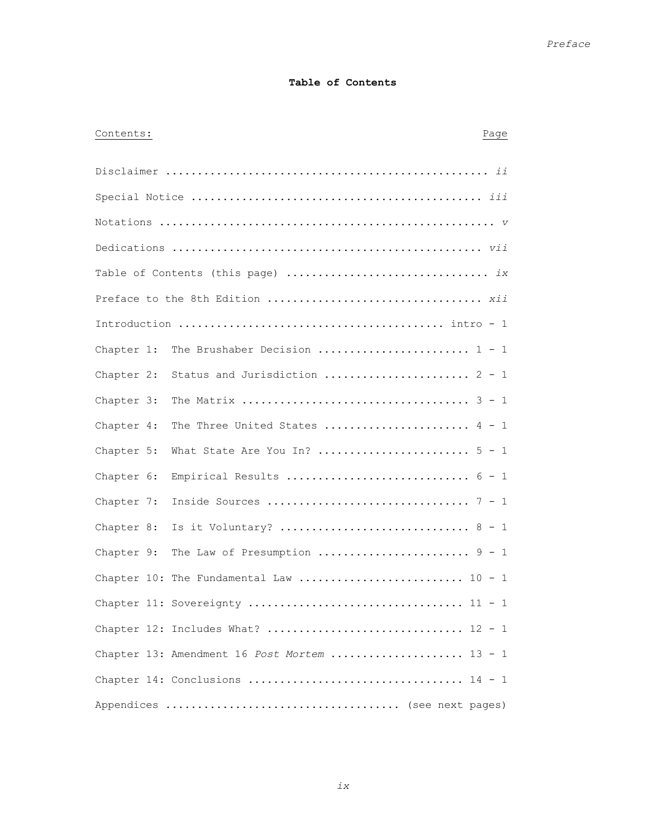# **Table of Contents**

# Contents: Page

| Chapter 1: | The Brushaber Decision $1 - 1$               |
|------------|----------------------------------------------|
| Chapter 2: | Status and Jurisdiction  2 - 1               |
| Chapter 3: |                                              |
| Chapter 4: | The Three United States  4 - 1               |
| Chapter 5: |                                              |
| Chapter 6: |                                              |
| Chapter 7: |                                              |
| Chapter 8: |                                              |
| Chapter 9: | The Law of Presumption $9 - 1$               |
|            | Chapter 10: The Fundamental Law  10 - 1      |
|            |                                              |
|            | Chapter 12: Includes What?  12 - 1           |
|            | Chapter 13: Amendment 16 Post Mortem  13 - 1 |
|            |                                              |
|            |                                              |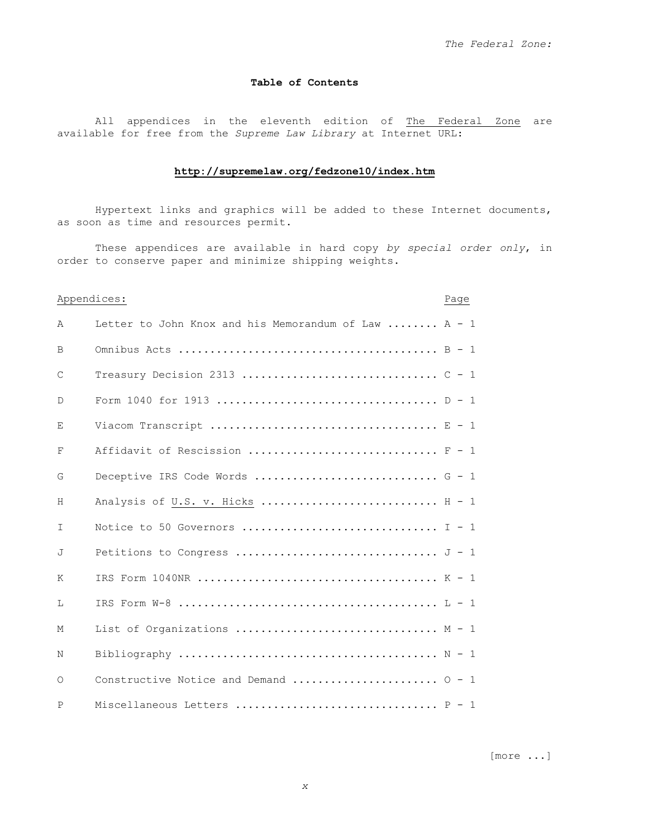# **Table of Contents**

All appendices in the eleventh edition of The Federal Zone are available for free from the *Supreme Law Library* at Internet URL:

# **http://supremelaw.org/fedzone10/index.htm**

Hypertext links and graphics will be added to these Internet documents, as soon as time and resources permit.

These appendices are available in hard copy *by special order only*, in order to conserve paper and minimize shipping weights.

|              | Appendices:                                          |  |
|--------------|------------------------------------------------------|--|
| A            | Letter to John Knox and his Memorandum of Law  A - 1 |  |
| B            |                                                      |  |
| $\mathsf{C}$ |                                                      |  |
| D            |                                                      |  |
| Е            |                                                      |  |
| F            | Affidavit of Rescission $F - 1$                      |  |
| G            |                                                      |  |
| H            | Analysis of U.S. v. Hicks $H - 1$                    |  |
| T            |                                                      |  |
| J            |                                                      |  |
| K            |                                                      |  |
| Т.           |                                                      |  |
| М            | List of Organizations $M - 1$                        |  |
| N            |                                                      |  |
| $\Omega$     | Constructive Notice and Demand $0 - 1$               |  |
| P            | Miscellaneous Letters $P - 1$                        |  |

[more ...]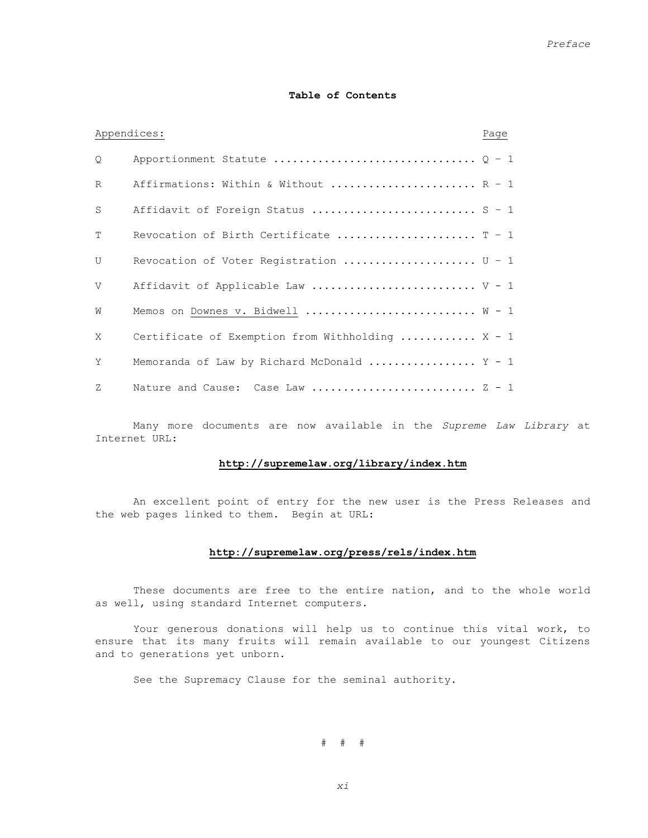## **Table of Contents**

| Appendices:  |                                                  | Page |
|--------------|--------------------------------------------------|------|
| Q.           |                                                  |      |
| R            | Affirmations: Within & Without  R - 1            |      |
| S            | Affidavit of Foreign Status  S - 1               |      |
| T            | Revocation of Birth Certificate $T - 1$          |      |
| $\mathbf{U}$ | Revocation of Voter Registration $U - 1$         |      |
| $\mathbf{V}$ | Affidavit of Applicable Law $V - 1$              |      |
| W            | Memos on Downes v. Bidwell  W - 1                |      |
| X            | Certificate of Exemption from Withholding  X - 1 |      |
| Y            | Memoranda of Law by Richard McDonald $Y - 1$     |      |
| 7.           | Nature and Cause: Case Law $Z - 1$               |      |

 Many more documents are now available in the *Supreme Law Library* at Internet URL:

## **http://supremelaw.org/library/index.htm**

 An excellent point of entry for the new user is the Press Releases and the web pages linked to them. Begin at URL:

# **http://supremelaw.org/press/rels/index.htm**

These documents are free to the entire nation, and to the whole world as well, using standard Internet computers.

 Your generous donations will help us to continue this vital work, to ensure that its many fruits will remain available to our youngest Citizens and to generations yet unborn.

See the Supremacy Clause for the seminal authority.

# # #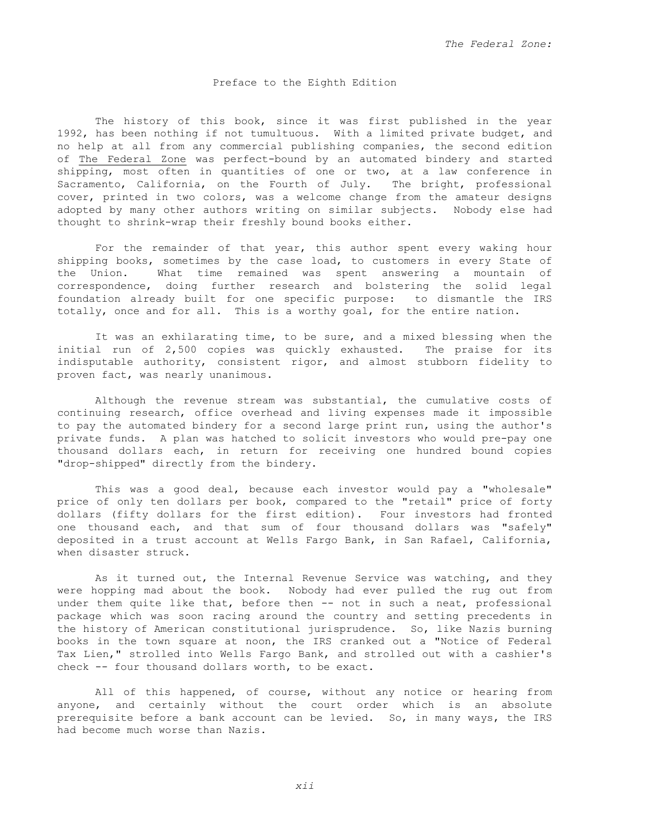## Preface to the Eighth Edition

 The history of this book, since it was first published in the year 1992, has been nothing if not tumultuous. With a limited private budget, and no help at all from any commercial publishing companies, the second edition of The Federal Zone was perfect-bound by an automated bindery and started shipping, most often in quantities of one or two, at a law conference in Sacramento, California, on the Fourth of July. The bright, professional cover, printed in two colors, was a welcome change from the amateur designs adopted by many other authors writing on similar subjects. Nobody else had thought to shrink-wrap their freshly bound books either.

 For the remainder of that year, this author spent every waking hour shipping books, sometimes by the case load, to customers in every State of the Union. What time remained was spent answering a mountain of correspondence, doing further research and bolstering the solid legal foundation already built for one specific purpose: to dismantle the IRS totally, once and for all. This is a worthy goal, for the entire nation.

 It was an exhilarating time, to be sure, and a mixed blessing when the initial run of 2,500 copies was quickly exhausted. The praise for its indisputable authority, consistent rigor, and almost stubborn fidelity to proven fact, was nearly unanimous.

 Although the revenue stream was substantial, the cumulative costs of continuing research, office overhead and living expenses made it impossible to pay the automated bindery for a second large print run, using the author's private funds. A plan was hatched to solicit investors who would pre-pay one thousand dollars each, in return for receiving one hundred bound copies "drop-shipped" directly from the bindery.

 This was a good deal, because each investor would pay a "wholesale" price of only ten dollars per book, compared to the "retail" price of forty dollars (fifty dollars for the first edition). Four investors had fronted one thousand each, and that sum of four thousand dollars was "safely" deposited in a trust account at Wells Fargo Bank, in San Rafael, California, when disaster struck.

 As it turned out, the Internal Revenue Service was watching, and they were hopping mad about the book. Nobody had ever pulled the rug out from under them quite like that, before then -- not in such a neat, professional package which was soon racing around the country and setting precedents in the history of American constitutional jurisprudence. So, like Nazis burning books in the town square at noon, the IRS cranked out a "Notice of Federal Tax Lien," strolled into Wells Fargo Bank, and strolled out with a cashier's check -- four thousand dollars worth, to be exact.

 All of this happened, of course, without any notice or hearing from anyone, and certainly without the court order which is an absolute prerequisite before a bank account can be levied. So, in many ways, the IRS had become much worse than Nazis.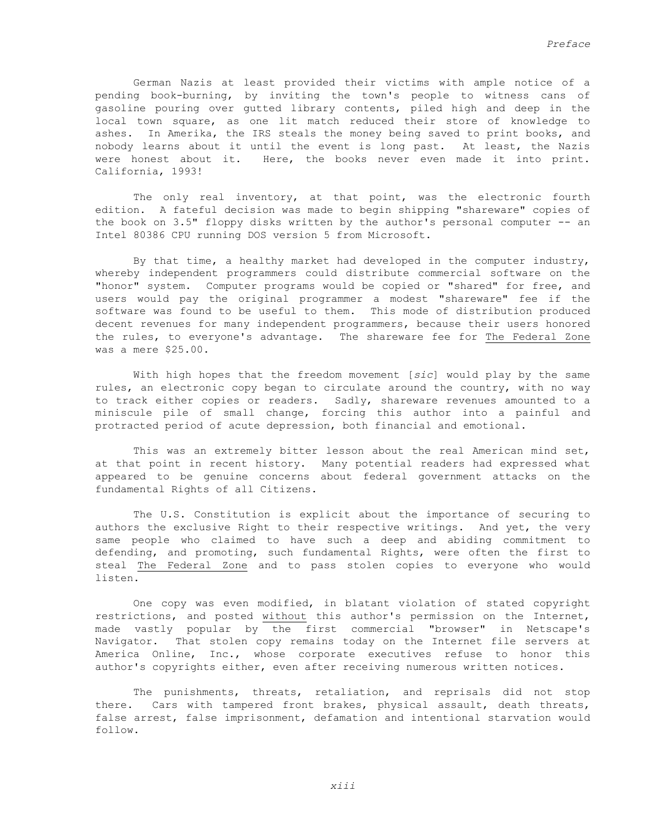German Nazis at least provided their victims with ample notice of a pending book-burning, by inviting the town's people to witness cans of gasoline pouring over gutted library contents, piled high and deep in the local town square, as one lit match reduced their store of knowledge to ashes. In Amerika, the IRS steals the money being saved to print books, and nobody learns about it until the event is long past. At least, the Nazis were honest about it. Here, the books never even made it into print. California, 1993!

 The only real inventory, at that point, was the electronic fourth edition. A fateful decision was made to begin shipping "shareware" copies of the book on 3.5" floppy disks written by the author's personal computer -- an Intel 80386 CPU running DOS version 5 from Microsoft.

 By that time, a healthy market had developed in the computer industry, whereby independent programmers could distribute commercial software on the "honor" system. Computer programs would be copied or "shared" for free, and users would pay the original programmer a modest "shareware" fee if the software was found to be useful to them. This mode of distribution produced decent revenues for many independent programmers, because their users honored the rules, to everyone's advantage. The shareware fee for The Federal Zone was a mere \$25.00.

 With high hopes that the freedom movement [*sic*] would play by the same rules, an electronic copy began to circulate around the country, with no way to track either copies or readers. Sadly, shareware revenues amounted to a miniscule pile of small change, forcing this author into a painful and protracted period of acute depression, both financial and emotional.

 This was an extremely bitter lesson about the real American mind set, at that point in recent history. Many potential readers had expressed what appeared to be genuine concerns about federal government attacks on the fundamental Rights of all Citizens.

 The U.S. Constitution is explicit about the importance of securing to authors the exclusive Right to their respective writings. And yet, the very same people who claimed to have such a deep and abiding commitment to defending, and promoting, such fundamental Rights, were often the first to steal The Federal Zone and to pass stolen copies to everyone who would listen.

 One copy was even modified, in blatant violation of stated copyright restrictions, and posted without this author's permission on the Internet, made vastly popular by the first commercial "browser" in Netscape's Navigator. That stolen copy remains today on the Internet file servers at America Online, Inc., whose corporate executives refuse to honor this author's copyrights either, even after receiving numerous written notices.

 The punishments, threats, retaliation, and reprisals did not stop there. Cars with tampered front brakes, physical assault, death threats, false arrest, false imprisonment, defamation and intentional starvation would follow.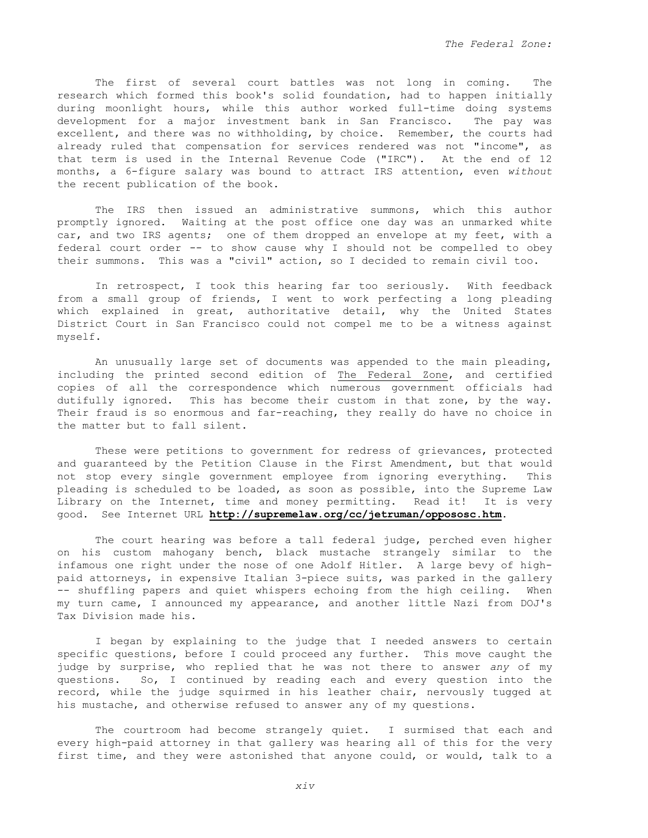The first of several court battles was not long in coming. The research which formed this book's solid foundation, had to happen initially during moonlight hours, while this author worked full-time doing systems development for a major investment bank in San Francisco. The pay was excellent, and there was no withholding, by choice. Remember, the courts had already ruled that compensation for services rendered was not "income", as that term is used in the Internal Revenue Code ("IRC"). At the end of 12 months, a 6-figure salary was bound to attract IRS attention, even *without* the recent publication of the book.

 The IRS then issued an administrative summons, which this author promptly ignored. Waiting at the post office one day was an unmarked white car, and two IRS agents; one of them dropped an envelope at my feet, with a federal court order -- to show cause why I should not be compelled to obey their summons. This was a "civil" action, so I decided to remain civil too.

 In retrospect, I took this hearing far too seriously. With feedback from a small group of friends, I went to work perfecting a long pleading which explained in great, authoritative detail, why the United States District Court in San Francisco could not compel me to be a witness against myself.

 An unusually large set of documents was appended to the main pleading, including the printed second edition of The Federal Zone, and certified copies of all the correspondence which numerous government officials had dutifully ignored. This has become their custom in that zone, by the way. Their fraud is so enormous and far-reaching, they really do have no choice in the matter but to fall silent.

 These were petitions to government for redress of grievances, protected and guaranteed by the Petition Clause in the First Amendment, but that would not stop every single government employee from ignoring everything. This pleading is scheduled to be loaded, as soon as possible, into the Supreme Law Library on the Internet, time and money permitting. Read it! It is very good. See Internet URL **http://supremelaw.org/cc/jetruman/oppososc.htm**.

 The court hearing was before a tall federal judge, perched even higher on his custom mahogany bench, black mustache strangely similar to the infamous one right under the nose of one Adolf Hitler. A large bevy of highpaid attorneys, in expensive Italian 3-piece suits, was parked in the gallery -- shuffling papers and quiet whispers echoing from the high ceiling. When my turn came, I announced my appearance, and another little Nazi from DOJ's Tax Division made his.

 I began by explaining to the judge that I needed answers to certain specific questions, before I could proceed any further. This move caught the judge by surprise, who replied that he was not there to answer *any* of my questions. So, I continued by reading each and every question into the record, while the judge squirmed in his leather chair, nervously tugged at his mustache, and otherwise refused to answer any of my questions.

 The courtroom had become strangely quiet. I surmised that each and every high-paid attorney in that gallery was hearing all of this for the very first time, and they were astonished that anyone could, or would, talk to a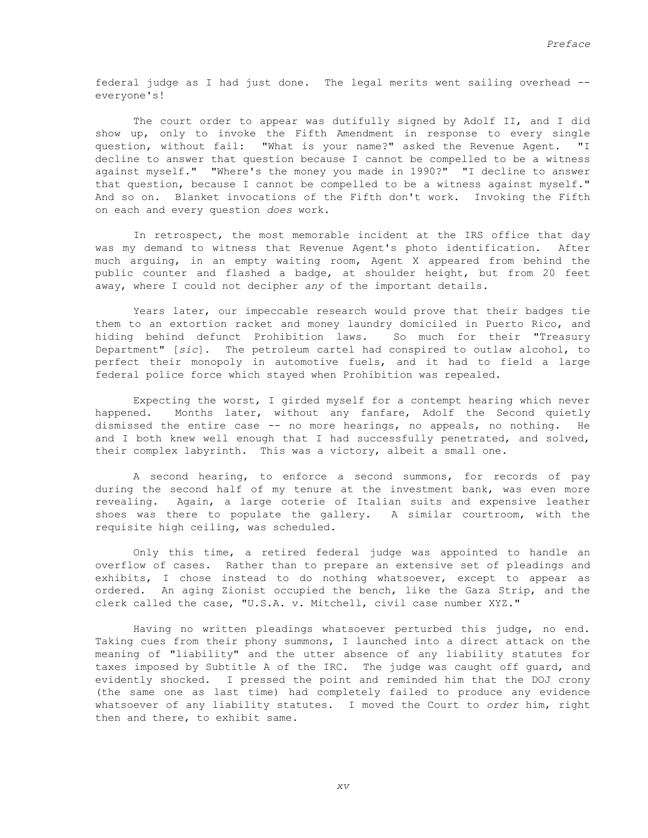federal judge as I had just done. The legal merits went sailing overhead - everyone's!

The court order to appear was dutifully signed by Adolf II, and I did show up, only to invoke the Fifth Amendment in response to every single question, without fail: "What is your name?" asked the Revenue Agent. "I decline to answer that question because I cannot be compelled to be a witness against myself." "Where's the money you made in 1990?" "I decline to answer that question, because I cannot be compelled to be a witness against myself." And so on. Blanket invocations of the Fifth don't work. Invoking the Fifth on each and every question *does* work.

 In retrospect, the most memorable incident at the IRS office that day was my demand to witness that Revenue Agent's photo identification. After much arguing, in an empty waiting room, Agent X appeared from behind the public counter and flashed a badge, at shoulder height, but from 20 feet away, where I could not decipher *any* of the important details.

 Years later, our impeccable research would prove that their badges tie them to an extortion racket and money laundry domiciled in Puerto Rico, and hiding behind defunct Prohibition laws. So much for their "Treasury Department" [*sic*]. The petroleum cartel had conspired to outlaw alcohol, to perfect their monopoly in automotive fuels, and it had to field a large federal police force which stayed when Prohibition was repealed.

 Expecting the worst, I girded myself for a contempt hearing which never happened. Months later, without any fanfare, Adolf the Second quietly dismissed the entire case -- no more hearings, no appeals, no nothing. He and I both knew well enough that I had successfully penetrated, and solved, their complex labyrinth. This was a victory, albeit a small one.

 A second hearing, to enforce a second summons, for records of pay during the second half of my tenure at the investment bank, was even more revealing. Again, a large coterie of Italian suits and expensive leather shoes was there to populate the gallery. A similar courtroom, with the requisite high ceiling, was scheduled.

 Only this time, a retired federal judge was appointed to handle an overflow of cases. Rather than to prepare an extensive set of pleadings and exhibits, I chose instead to do nothing whatsoever, except to appear as ordered. An aging Zionist occupied the bench, like the Gaza Strip, and the clerk called the case, "U.S.A. v. Mitchell, civil case number XYZ."

 Having no written pleadings whatsoever perturbed this judge, no end. Taking cues from their phony summons, I launched into a direct attack on the meaning of "liability" and the utter absence of any liability statutes for taxes imposed by Subtitle A of the IRC. The judge was caught off guard, and evidently shocked. I pressed the point and reminded him that the DOJ crony (the same one as last time) had completely failed to produce any evidence whatsoever of any liability statutes. I moved the Court to *order* him, right then and there, to exhibit same.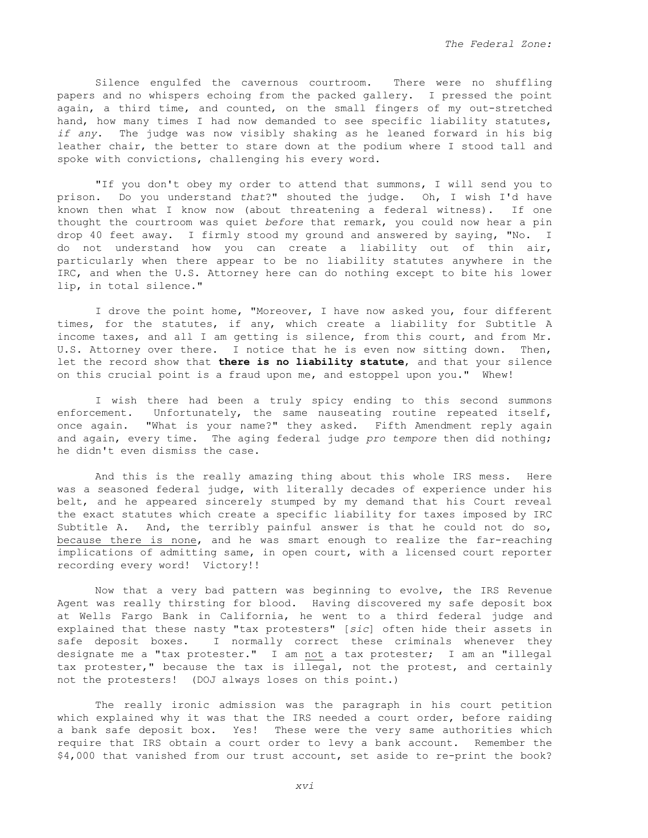Silence engulfed the cavernous courtroom. There were no shuffling papers and no whispers echoing from the packed gallery. I pressed the point again, a third time, and counted, on the small fingers of my out-stretched hand, how many times I had now demanded to see specific liability statutes, *if any*. The judge was now visibly shaking as he leaned forward in his big leather chair, the better to stare down at the podium where I stood tall and spoke with convictions, challenging his every word.

 "If you don't obey my order to attend that summons, I will send you to prison. Do you understand *that*?" shouted the judge. Oh, I wish I'd have known then what I know now (about threatening a federal witness). If one thought the courtroom was quiet *before* that remark, you could now hear a pin drop 40 feet away. I firmly stood my ground and answered by saying, "No. I do not understand how you can create a liability out of thin air, particularly when there appear to be no liability statutes anywhere in the IRC, and when the U.S. Attorney here can do nothing except to bite his lower lip, in total silence."

 I drove the point home, "Moreover, I have now asked you, four different times, for the statutes, if any, which create a liability for Subtitle A income taxes, and all I am getting is silence, from this court, and from Mr. U.S. Attorney over there. I notice that he is even now sitting down. Then, let the record show that **there is no liability statute**, and that your silence on this crucial point is a fraud upon me, and estoppel upon you." Whew!

 I wish there had been a truly spicy ending to this second summons enforcement. Unfortunately, the same nauseating routine repeated itself, once again. "What is your name?" they asked. Fifth Amendment reply again and again, every time. The aging federal judge *pro tempore* then did nothing; he didn't even dismiss the case.

 And this is the really amazing thing about this whole IRS mess. Here was a seasoned federal judge, with literally decades of experience under his belt, and he appeared sincerely stumped by my demand that his Court reveal the exact statutes which create a specific liability for taxes imposed by IRC Subtitle A. And, the terribly painful answer is that he could not do so, because there is none, and he was smart enough to realize the far-reaching implications of admitting same, in open court, with a licensed court reporter recording every word! Victory!!

 Now that a very bad pattern was beginning to evolve, the IRS Revenue Agent was really thirsting for blood. Having discovered my safe deposit box at Wells Fargo Bank in California, he went to a third federal judge and explained that these nasty "tax protesters" [*sic*] often hide their assets in safe deposit boxes. I normally correct these criminals whenever they designate me a "tax protester." I am not a tax protester; I am an "illegal tax protester," because the tax is illegal, not the protest, and certainly not the protesters! (DOJ always loses on this point.)

 The really ironic admission was the paragraph in his court petition which explained why it was that the IRS needed a court order, before raiding a bank safe deposit box. Yes! These were the very same authorities which require that IRS obtain a court order to levy a bank account. Remember the \$4,000 that vanished from our trust account, set aside to re-print the book?

*xvi*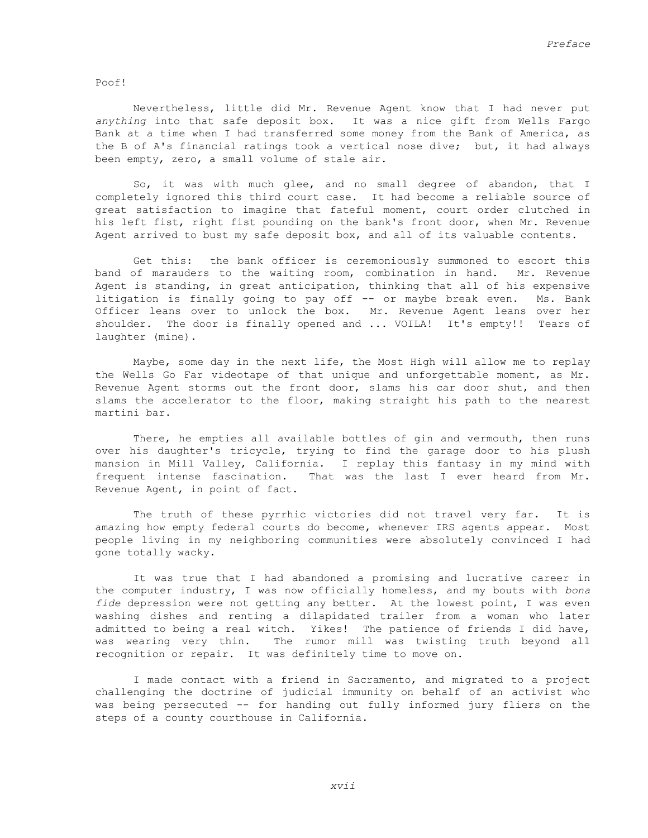Poof!

 Nevertheless, little did Mr. Revenue Agent know that I had never put *anything* into that safe deposit box. It was a nice gift from Wells Fargo Bank at a time when I had transferred some money from the Bank of America, as the B of A's financial ratings took a vertical nose dive; but, it had always been empty, zero, a small volume of stale air.

 So, it was with much glee, and no small degree of abandon, that I completely ignored this third court case. It had become a reliable source of great satisfaction to imagine that fateful moment, court order clutched in his left fist, right fist pounding on the bank's front door, when Mr. Revenue Agent arrived to bust my safe deposit box, and all of its valuable contents.

 Get this: the bank officer is ceremoniously summoned to escort this band of marauders to the waiting room, combination in hand. Mr. Revenue Agent is standing, in great anticipation, thinking that all of his expensive litigation is finally going to pay off -- or maybe break even. Ms. Bank Officer leans over to unlock the box. Mr. Revenue Agent leans over her shoulder. The door is finally opened and ... VOILA! It's empty!! Tears of laughter (mine).

 Maybe, some day in the next life, the Most High will allow me to replay the Wells Go Far videotape of that unique and unforgettable moment, as Mr. Revenue Agent storms out the front door, slams his car door shut, and then slams the accelerator to the floor, making straight his path to the nearest martini bar.

There, he empties all available bottles of gin and vermouth, then runs over his daughter's tricycle, trying to find the garage door to his plush mansion in Mill Valley, California. I replay this fantasy in my mind with frequent intense fascination. That was the last I ever heard from Mr. Revenue Agent, in point of fact.

 The truth of these pyrrhic victories did not travel very far. It is amazing how empty federal courts do become, whenever IRS agents appear. Most people living in my neighboring communities were absolutely convinced I had gone totally wacky.

 It was true that I had abandoned a promising and lucrative career in the computer industry, I was now officially homeless, and my bouts with *bona fide* depression were not getting any better. At the lowest point, I was even washing dishes and renting a dilapidated trailer from a woman who later admitted to being a real witch. Yikes! The patience of friends I did have, was wearing very thin. The rumor mill was twisting truth beyond all recognition or repair. It was definitely time to move on.

 I made contact with a friend in Sacramento, and migrated to a project challenging the doctrine of judicial immunity on behalf of an activist who was being persecuted -- for handing out fully informed jury fliers on the steps of a county courthouse in California.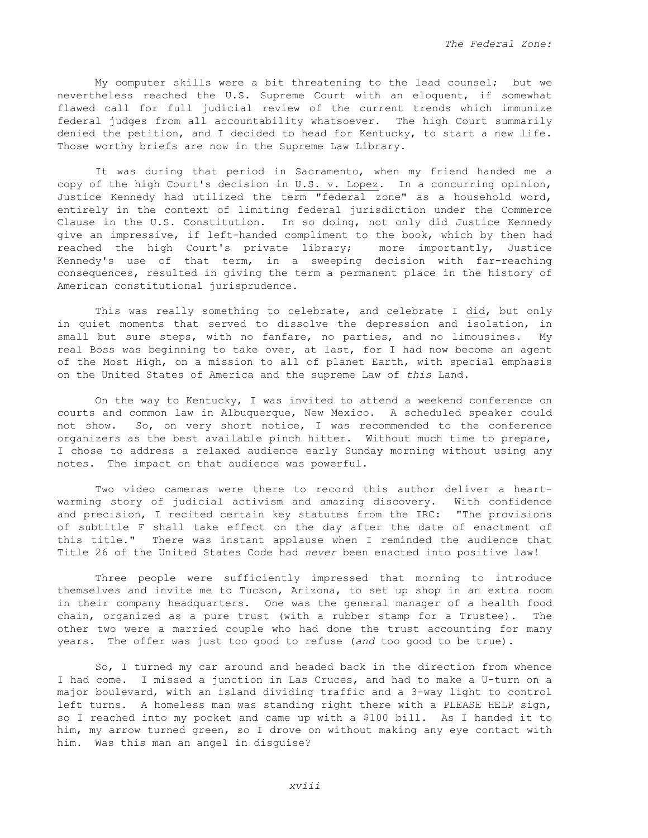My computer skills were a bit threatening to the lead counsel; but we nevertheless reached the U.S. Supreme Court with an eloquent, if somewhat flawed call for full judicial review of the current trends which immunize federal judges from all accountability whatsoever. The high Court summarily denied the petition, and I decided to head for Kentucky, to start a new life. Those worthy briefs are now in the Supreme Law Library.

 It was during that period in Sacramento, when my friend handed me a copy of the high Court's decision in  $U.S.$  v. Lopez. In a concurring opinion, Justice Kennedy had utilized the term "federal zone" as a household word, entirely in the context of limiting federal jurisdiction under the Commerce Clause in the U.S. Constitution. In so doing, not only did Justice Kennedy give an impressive, if left-handed compliment to the book, which by then had reached the high Court's private library; more importantly, Justice Kennedy's use of that term, in a sweeping decision with far-reaching consequences, resulted in giving the term a permanent place in the history of American constitutional jurisprudence.

This was really something to celebrate, and celebrate I did, but only in quiet moments that served to dissolve the depression and isolation, in small but sure steps, with no fanfare, no parties, and no limousines. My real Boss was beginning to take over, at last, for I had now become an agent of the Most High, on a mission to all of planet Earth, with special emphasis on the United States of America and the supreme Law of *this* Land.

 On the way to Kentucky, I was invited to attend a weekend conference on courts and common law in Albuquerque, New Mexico. A scheduled speaker could not show. So, on very short notice, I was recommended to the conference organizers as the best available pinch hitter. Without much time to prepare, I chose to address a relaxed audience early Sunday morning without using any notes. The impact on that audience was powerful.

 Two video cameras were there to record this author deliver a heartwarming story of judicial activism and amazing discovery. With confidence and precision, I recited certain key statutes from the IRC: "The provisions" of subtitle F shall take effect on the day after the date of enactment of this title." There was instant applause when I reminded the audience that Title 26 of the United States Code had *never* been enacted into positive law!

 Three people were sufficiently impressed that morning to introduce themselves and invite me to Tucson, Arizona, to set up shop in an extra room in their company headquarters. One was the general manager of a health food chain, organized as a pure trust (with a rubber stamp for a Trustee). The other two were a married couple who had done the trust accounting for many years. The offer was just too good to refuse (*and* too good to be true).

 So, I turned my car around and headed back in the direction from whence I had come. I missed a junction in Las Cruces, and had to make a U-turn on a major boulevard, with an island dividing traffic and a 3-way light to control left turns. A homeless man was standing right there with a PLEASE HELP sign, so I reached into my pocket and came up with a \$100 bill. As I handed it to him, my arrow turned green, so I drove on without making any eye contact with him. Was this man an angel in disguise?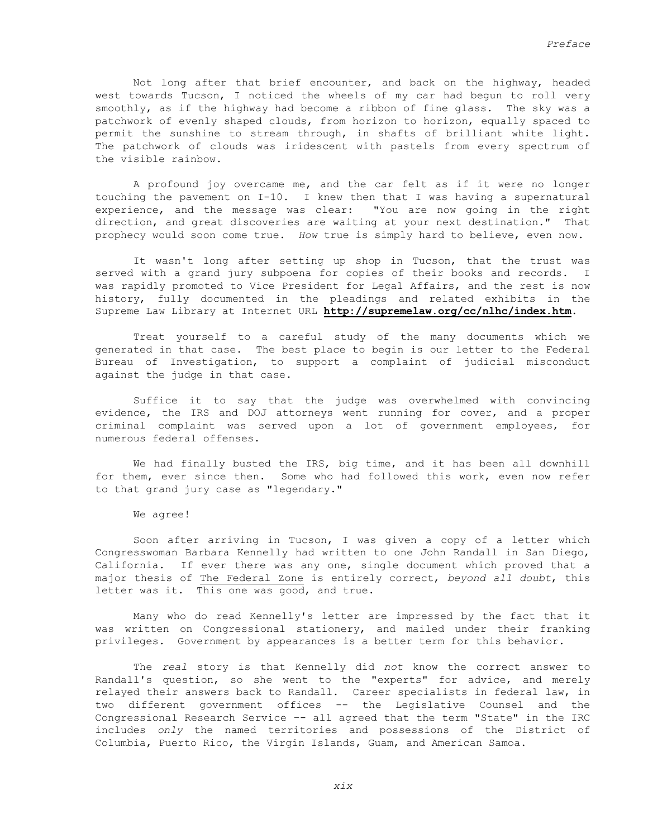Not long after that brief encounter, and back on the highway, headed west towards Tucson, I noticed the wheels of my car had begun to roll very smoothly, as if the highway had become a ribbon of fine glass. The sky was a patchwork of evenly shaped clouds, from horizon to horizon, equally spaced to permit the sunshine to stream through, in shafts of brilliant white light. The patchwork of clouds was iridescent with pastels from every spectrum of the visible rainbow.

 A profound joy overcame me, and the car felt as if it were no longer touching the pavement on I-10. I knew then that I was having a supernatural experience, and the message was clear: "You are now going in the right direction, and great discoveries are waiting at your next destination." That prophecy would soon come true. *How* true is simply hard to believe, even now.

 It wasn't long after setting up shop in Tucson, that the trust was served with a grand jury subpoena for copies of their books and records. I was rapidly promoted to Vice President for Legal Affairs, and the rest is now history, fully documented in the pleadings and related exhibits in the Supreme Law Library at Internet URL **http://supremelaw.org/cc/nlhc/index.htm**.

Treat yourself to a careful study of the many documents which we generated in that case. The best place to begin is our letter to the Federal Bureau of Investigation, to support a complaint of judicial misconduct against the judge in that case.

 Suffice it to say that the judge was overwhelmed with convincing evidence, the IRS and DOJ attorneys went running for cover, and a proper criminal complaint was served upon a lot of government employees, for numerous federal offenses.

 We had finally busted the IRS, big time, and it has been all downhill for them, ever since then. Some who had followed this work, even now refer to that grand jury case as "legendary."

We agree!

 Soon after arriving in Tucson, I was given a copy of a letter which Congresswoman Barbara Kennelly had written to one John Randall in San Diego, California. If ever there was any one, single document which proved that a major thesis of The Federal Zone is entirely correct, *beyond all doubt*, this letter was it. This one was good, and true.

 Many who do read Kennelly's letter are impressed by the fact that it was written on Congressional stationery, and mailed under their franking privileges. Government by appearances is a better term for this behavior.

 The *real* story is that Kennelly did *not* know the correct answer to Randall's question, so she went to the "experts" for advice, and merely relayed their answers back to Randall. Career specialists in federal law, in two different government offices -- the Legislative Counsel and the Congressional Research Service –- all agreed that the term "State" in the IRC includes *only* the named territories and possessions of the District of Columbia, Puerto Rico, the Virgin Islands, Guam, and American Samoa.

*xix*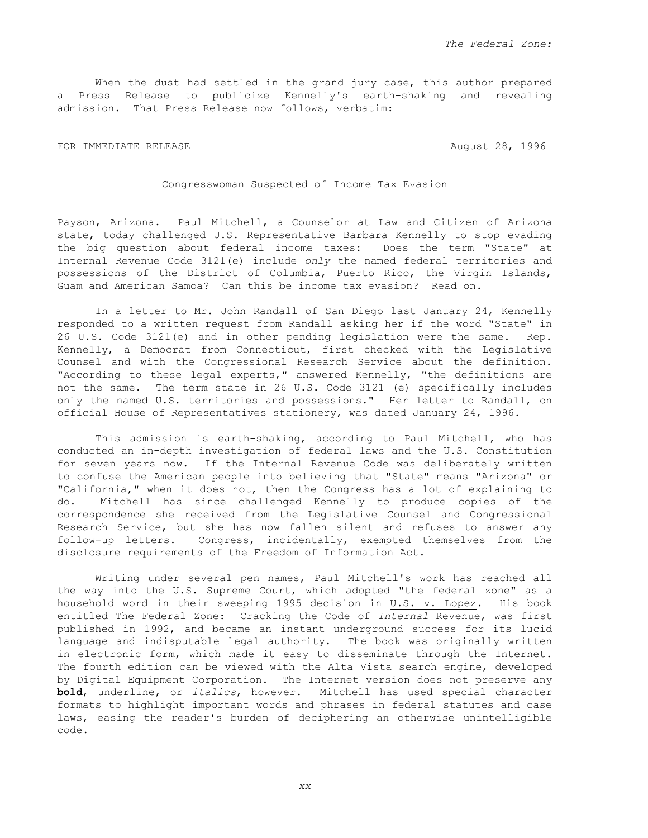When the dust had settled in the grand jury case, this author prepared a Press Release to publicize Kennelly's earth-shaking and revealing admission. That Press Release now follows, verbatim:

FOR IMMEDIATE RELEASE **AUGUST 28, 1996** 

Congresswoman Suspected of Income Tax Evasion

Payson, Arizona. Paul Mitchell, a Counselor at Law and Citizen of Arizona state, today challenged U.S. Representative Barbara Kennelly to stop evading the big question about federal income taxes: Does the term "State" at Internal Revenue Code 3121(e) include *only* the named federal territories and possessions of the District of Columbia, Puerto Rico, the Virgin Islands, Guam and American Samoa? Can this be income tax evasion? Read on.

 In a letter to Mr. John Randall of San Diego last January 24, Kennelly responded to a written request from Randall asking her if the word "State" in 26 U.S. Code 3121(e) and in other pending legislation were the same. Rep. Kennelly, a Democrat from Connecticut, first checked with the Legislative Counsel and with the Congressional Research Service about the definition. "According to these legal experts," answered Kennelly, "the definitions are not the same. The term state in 26 U.S. Code 3121 (e) specifically includes only the named U.S. territories and possessions." Her letter to Randall, on official House of Representatives stationery, was dated January 24, 1996.

 This admission is earth-shaking, according to Paul Mitchell, who has conducted an in-depth investigation of federal laws and the U.S. Constitution for seven years now. If the Internal Revenue Code was deliberately written to confuse the American people into believing that "State" means "Arizona" or "California," when it does not, then the Congress has a lot of explaining to do. Mitchell has since challenged Kennelly to produce copies of the correspondence she received from the Legislative Counsel and Congressional Research Service, but she has now fallen silent and refuses to answer any follow-up letters. Congress, incidentally, exempted themselves from the disclosure requirements of the Freedom of Information Act.

 Writing under several pen names, Paul Mitchell's work has reached all the way into the U.S. Supreme Court, which adopted "the federal zone" as a household word in their sweeping 1995 decision in U.S. v. Lopez. His book entitled The Federal Zone: Cracking the Code of *Internal* Revenue, was first published in 1992, and became an instant underground success for its lucid language and indisputable legal authority. The book was originally written in electronic form, which made it easy to disseminate through the Internet. The fourth edition can be viewed with the Alta Vista search engine, developed by Digital Equipment Corporation. The Internet version does not preserve any **bold**, underline, or *italics*, however. Mitchell has used special character formats to highlight important words and phrases in federal statutes and case laws, easing the reader's burden of deciphering an otherwise unintelligible code.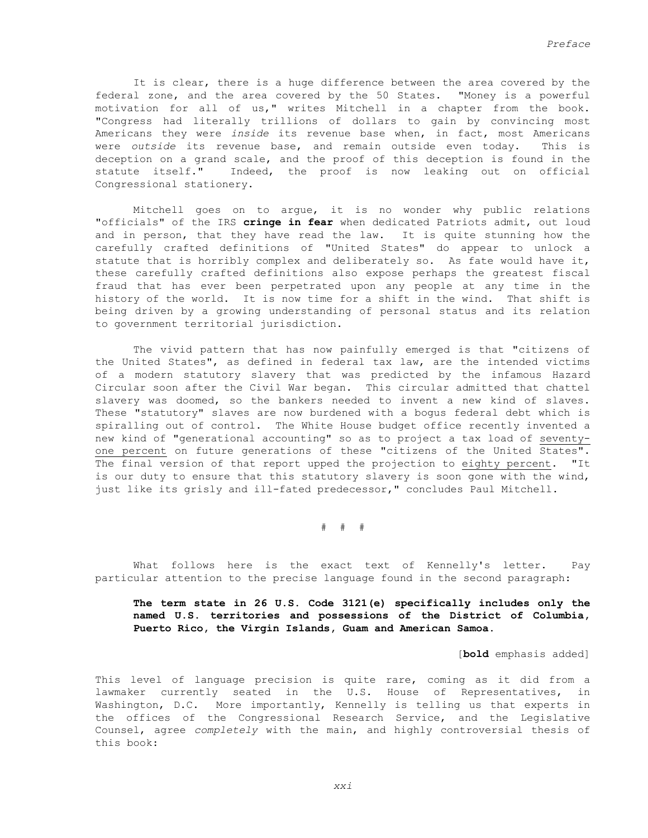It is clear, there is a huge difference between the area covered by the federal zone, and the area covered by the 50 States. "Money is a powerful motivation for all of us," writes Mitchell in a chapter from the book. "Congress had literally trillions of dollars to gain by convincing most Americans they were *inside* its revenue base when, in fact, most Americans were *outside* its revenue base, and remain outside even today. This is deception on a grand scale, and the proof of this deception is found in the statute itself." Indeed, the proof is now leaking out on official Congressional stationery.

 Mitchell goes on to argue, it is no wonder why public relations "officials" of the IRS **cringe in fear** when dedicated Patriots admit, out loud and in person, that they have read the law. It is quite stunning how the carefully crafted definitions of "United States" do appear to unlock a statute that is horribly complex and deliberately so. As fate would have it, these carefully crafted definitions also expose perhaps the greatest fiscal fraud that has ever been perpetrated upon any people at any time in the history of the world. It is now time for a shift in the wind. That shift is being driven by a growing understanding of personal status and its relation to government territorial jurisdiction.

 The vivid pattern that has now painfully emerged is that "citizens of the United States", as defined in federal tax law, are the intended victims of a modern statutory slavery that was predicted by the infamous Hazard Circular soon after the Civil War began. This circular admitted that chattel slavery was doomed, so the bankers needed to invent a new kind of slaves. These "statutory" slaves are now burdened with a bogus federal debt which is spiralling out of control. The White House budget office recently invented a new kind of "generational accounting" so as to project a tax load of seventyone percent on future generations of these "citizens of the United States". The final version of that report upped the projection to eighty percent. "It is our duty to ensure that this statutory slavery is soon gone with the wind, just like its grisly and ill-fated predecessor," concludes Paul Mitchell.

 $\#$   $\#$   $\#$ 

 What follows here is the exact text of Kennelly's letter. Pay particular attention to the precise language found in the second paragraph:

# **The term state in 26 U.S. Code 3121(e) specifically includes only the named U.S. territories and possessions of the District of Columbia, Puerto Rico, the Virgin Islands, Guam and American Samoa.**

[**bold** emphasis added]

 This level of language precision is quite rare, coming as it did from a lawmaker currently seated in the U.S. House of Representatives, in Washington, D.C. More importantly, Kennelly is telling us that experts in the offices of the Congressional Research Service, and the Legislative Counsel, agree *completely* with the main, and highly controversial thesis of this book:

*xxi*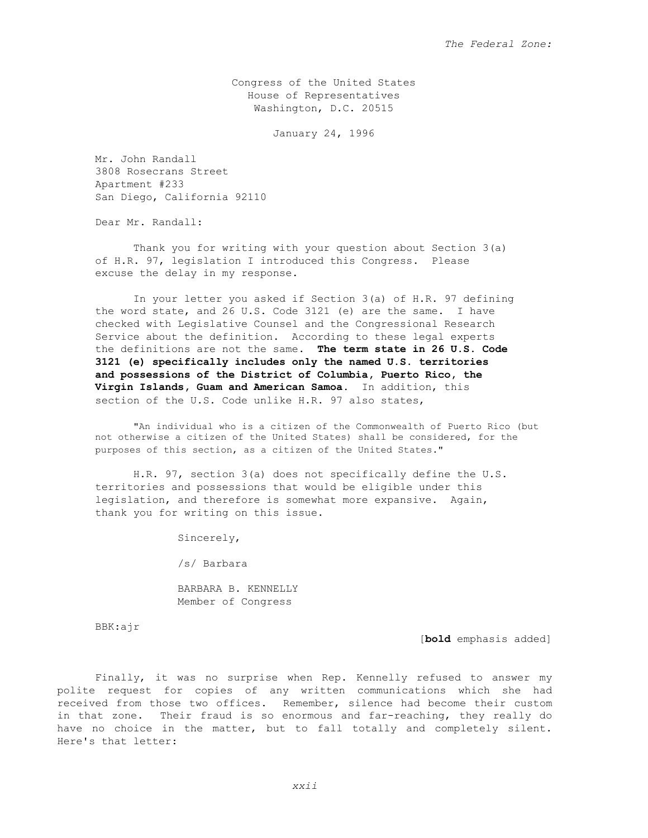Congress of the United States House of Representatives Washington, D.C. 20515

January 24, 1996

Mr. John Randall 3808 Rosecrans Street Apartment #233 San Diego, California 92110

Dear Mr. Randall:

 Thank you for writing with your question about Section 3(a) of H.R. 97, legislation I introduced this Congress. Please excuse the delay in my response.

 In your letter you asked if Section 3(a) of H.R. 97 defining the word state, and 26 U.S. Code 3121 (e) are the same. I have checked with Legislative Counsel and the Congressional Research Service about the definition. According to these legal experts the definitions are not the same. **The term state in 26 U.S. Code 3121 (e) specifically includes only the named U.S. territories and possessions of the District of Columbia, Puerto Rico, the Virgin Islands, Guam and American Samoa.** In addition, this section of the U.S. Code unlike H.R. 97 also states,

"An individual who is a citizen of the Commonwealth of Puerto Rico (but not otherwise a citizen of the United States) shall be considered, for the purposes of this section, as a citizen of the United States."

 H.R. 97, section 3(a) does not specifically define the U.S. territories and possessions that would be eligible under this legislation, and therefore is somewhat more expansive. Again, thank you for writing on this issue.

Sincerely,

/s/ Barbara

 BARBARA B. KENNELLY Member of Congress

BBK:ajr

[**bold** emphasis added]

 Finally, it was no surprise when Rep. Kennelly refused to answer my polite request for copies of any written communications which she had received from those two offices. Remember, silence had become their custom in that zone. Their fraud is so enormous and far-reaching, they really do have no choice in the matter, but to fall totally and completely silent. Here's that letter: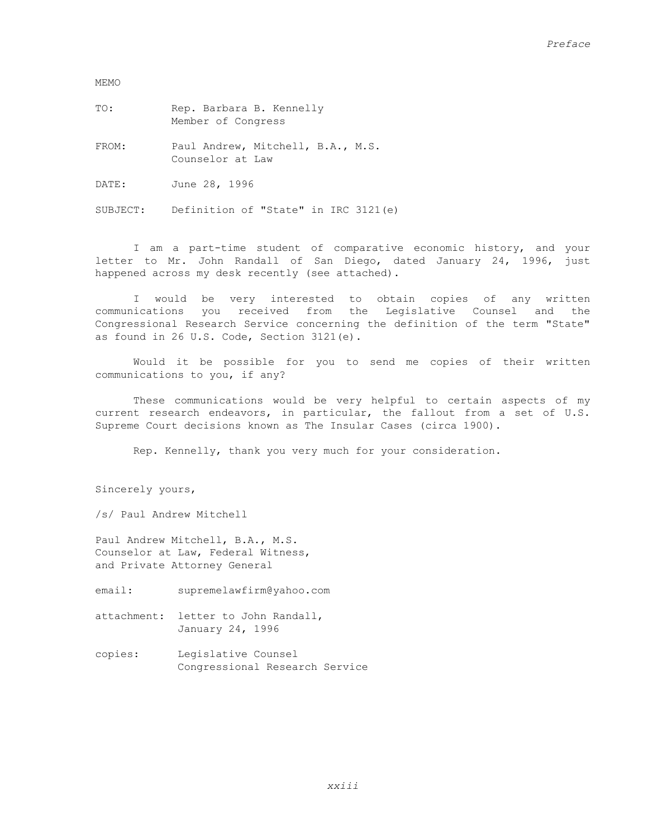MEMO

TO: Rep. Barbara B. Kennelly Member of Congress

FROM: Paul Andrew, Mitchell, B.A., M.S. Counselor at Law

DATE: June 28, 1996

SUBJECT: Definition of "State" in IRC 3121(e)

 I am a part-time student of comparative economic history, and your letter to Mr. John Randall of San Diego, dated January 24, 1996, just happened across my desk recently (see attached).

 I would be very interested to obtain copies of any written communications you received from the Legislative Counsel and the Congressional Research Service concerning the definition of the term "State" as found in 26 U.S. Code, Section 3121(e).

 Would it be possible for you to send me copies of their written communications to you, if any?

 These communications would be very helpful to certain aspects of my current research endeavors, in particular, the fallout from a set of U.S. Supreme Court decisions known as The Insular Cases (circa 1900).

Rep. Kennelly, thank you very much for your consideration.

Sincerely yours,

/s/ Paul Andrew Mitchell

Paul Andrew Mitchell, B.A., M.S. Counselor at Law, Federal Witness, and Private Attorney General

email: supremelawfirm@yahoo.com

attachment: letter to John Randall, January 24, 1996

copies: Legislative Counsel Congressional Research Service